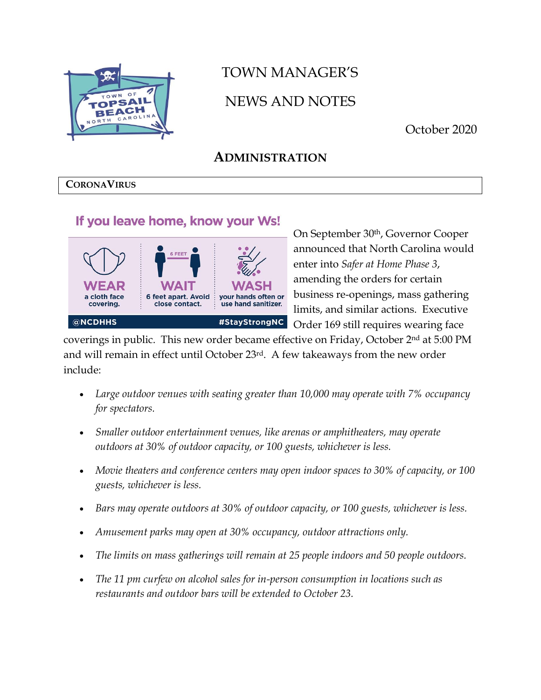

# TOWN MANAGER'S NEWS AND NOTES

October 2020

# **ADMINISTRATION**

#### **CORONAVIRUS**

### If you leave home, know your Ws!



On September 30th, Governor Cooper announced that North Carolina would enter into *Safer at Home Phase 3*, amending the orders for certain business re-openings, mass gathering limits, and similar actions. Executive Order 169 still requires wearing face

coverings in public. This new order became effective on Friday, October 2nd at 5:00 PM and will remain in effect until October 23rd. A few takeaways from the new order include:

- *Large outdoor venues with seating greater than 10,000 may operate with 7% occupancy for spectators.*
- *Smaller outdoor entertainment venues, like arenas or amphitheaters, may operate outdoors at 30% of outdoor capacity, or 100 guests, whichever is less.*
- *Movie theaters and conference centers may open indoor spaces to 30% of capacity, or 100 guests, whichever is less.*
- *Bars may operate outdoors at 30% of outdoor capacity, or 100 guests, whichever is less.*
- *Amusement parks may open at 30% occupancy, outdoor attractions only.*
- *The limits on mass gatherings will remain at 25 people indoors and 50 people outdoors.*
- The 11 pm curfew on alcohol sales for in-person consumption in locations such as *restaurants and outdoor bars will be extended to October 23.*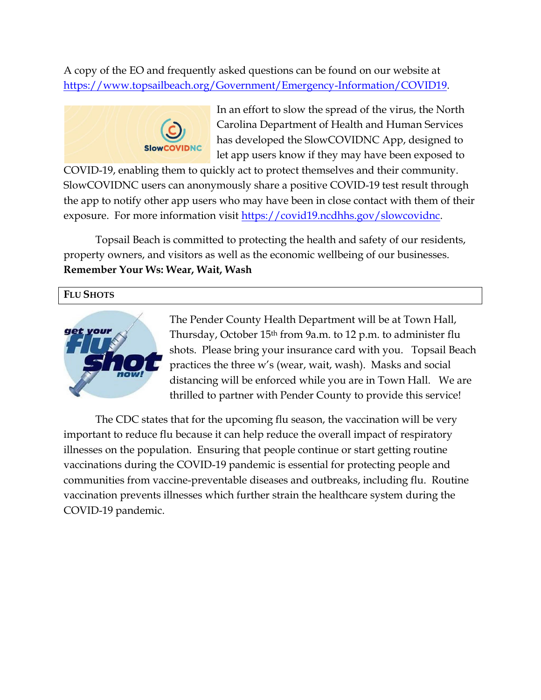A copy of the EO and frequently asked questions can be found on our website at [https://www.topsailbeach.org/Government/Emergency-Information/COVID19.](https://www.topsailbeach.org/Government/Emergency-Information/COVID19)



In an effort to slow the spread of the virus, the North Carolina Department of Health and Human Services has developed the SlowCOVIDNC App, designed to let app users know if they may have been exposed to

COVID-19, enabling them to quickly act to protect themselves and their community. SlowCOVIDNC users can anonymously share a positive COVID-19 test result through the app to notify other app users who may have been in close contact with them of their exposure. For more information visit [https://covid19.ncdhhs.gov/slowcovidnc.](https://covid19.ncdhhs.gov/slowcovidnc)

Topsail Beach is committed to protecting the health and safety of our residents, property owners, and visitors as well as the economic wellbeing of our businesses. **Remember Your Ws: Wear, Wait, Wash**

#### **FLU SHOTS**



The Pender County Health Department will be at Town Hall, Thursday, October 15th from 9a.m. to 12 p.m. to administer flu shots. Please bring your insurance card with you. Topsail Beach practices the three w's (wear, wait, wash). Masks and social distancing will be enforced while you are in Town Hall. We are thrilled to partner with Pender County to provide this service!

The CDC states that for the upcoming flu season, the vaccination will be very important to reduce flu because it can help reduce the overall impact of respiratory illnesses on the population. Ensuring that people continue or start getting routine vaccinations during the COVID-19 pandemic is essential for protecting people and communities from vaccine-preventable diseases and outbreaks, including flu. Routine vaccination prevents illnesses which further strain the healthcare system during the COVID-19 pandemic.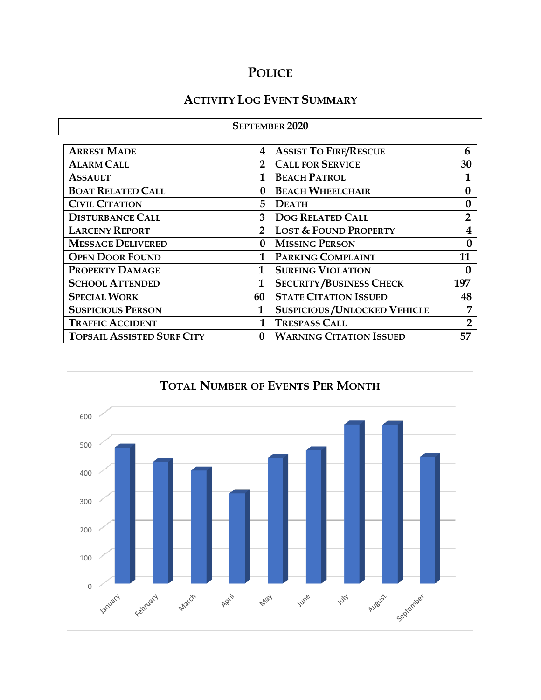# **POLICE**

# **ACTIVITY LOG EVENT SUMMARY**

| <b>SEPTEMBER 2020</b>             |                  |                                      |                  |  |  |
|-----------------------------------|------------------|--------------------------------------|------------------|--|--|
| <b>ARREST MADE</b>                | 4                | <b>ASSIST TO FIRE/RESCUE</b>         | 6                |  |  |
| <b>ALARM CALL</b>                 | 2                | <b>CALL FOR SERVICE</b>              | 30               |  |  |
| <b>ASSAULT</b>                    | 1                | <b>BEACH PATROL</b>                  |                  |  |  |
| <b>BOAT RELATED CALL</b>          | $\bf{0}$         | <b>BEACH WHEELCHAIR</b>              | $\bf{0}$         |  |  |
| <b>CIVIL CITATION</b>             | 5                | <b>DEATH</b>                         | 0                |  |  |
| <b>DISTURBANCE CALL</b>           | 3                | <b>DOG RELATED CALL</b>              | $\overline{2}$   |  |  |
| <b>LARCENY REPORT</b>             | $\overline{2}$   | <b>LOST &amp; FOUND PROPERTY</b>     | 4                |  |  |
| <b>MESSAGE DELIVERED</b>          | 0                | <b>MISSING PERSON</b>                | 0                |  |  |
| <b>OPEN DOOR FOUND</b>            | 1                | PARKING COMPLAINT                    |                  |  |  |
| PROPERTY DAMAGE                   | $\mathbf{1}$     | <b>SURFING VIOLATION</b>             | $\boldsymbol{0}$ |  |  |
| <b>SCHOOL ATTENDED</b>            | 1                | <b>SECURITY/BUSINESS CHECK</b>       | 197              |  |  |
| <b>SPECIAL WORK</b>               | 60               | <b>STATE CITATION ISSUED</b>         | 48               |  |  |
| <b>SUSPICIOUS PERSON</b>          | 1                | <b>SUSPICIOUS/UNLOCKED VEHICLE</b>   |                  |  |  |
| <b>TRAFFIC ACCIDENT</b>           | 1                | <b>TRESPASS CALL</b>                 |                  |  |  |
| <b>TOPSAIL ASSISTED SURF CITY</b> | $\boldsymbol{0}$ | <b>WARNING CITATION ISSUED</b><br>57 |                  |  |  |

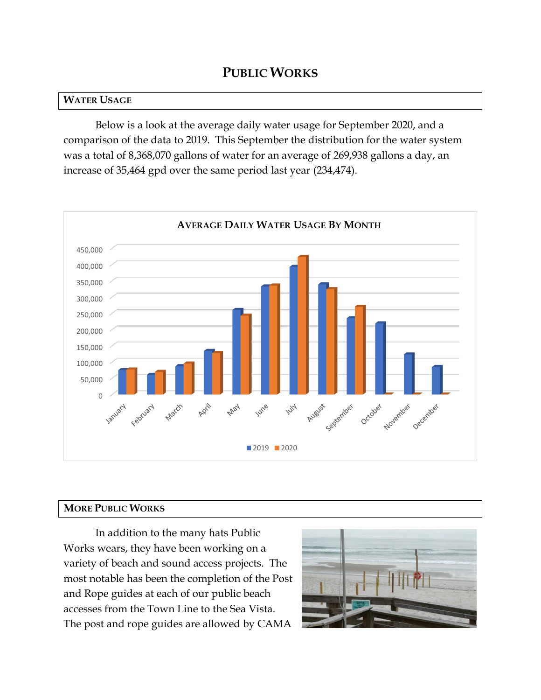### **PUBLIC WORKS**

#### **WATER USAGE**

Below is a look at the average daily water usage for September 2020, and a comparison of the data to 2019. This September the distribution for the water system was a total of 8,368,070 gallons of water for an average of 269,938 gallons a day, an increase of 35,464 gpd over the same period last year (234,474).



#### **MORE PUBLIC WORKS**

In addition to the many hats Public Works wears, they have been working on a variety of beach and sound access projects. The most notable has been the completion of the Post and Rope guides at each of our public beach accesses from the Town Line to the Sea Vista. The post and rope guides are allowed by CAMA

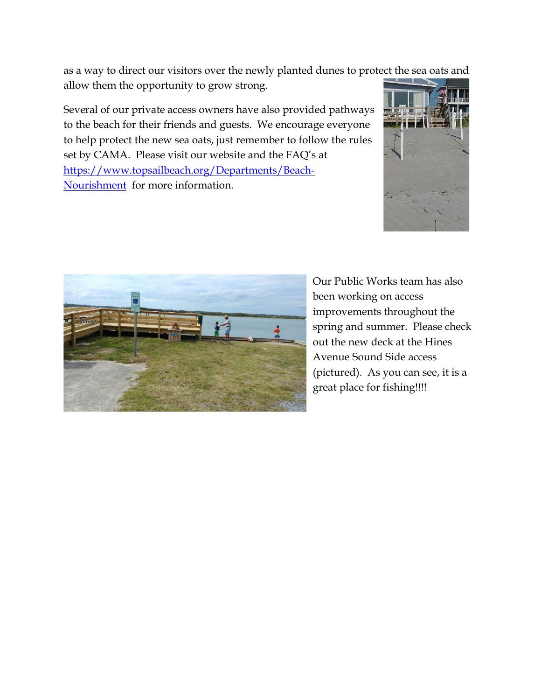as a way to direct our visitors over the newly planted dunes to protect the sea oats and allow them the opportunity to grow strong.

Several of our private access owners have also provided pathways to the beach for their friends and guests. We encourage everyone to help protect the new sea oats, just remember to follow the rules set by CAMA. Please visit our website and the FAQ's at [https://www.topsailbeach.org/Departments/Beach-](https://www.topsailbeach.org/Departments/Beach-Nourishment)[Nourishment](https://www.topsailbeach.org/Departments/Beach-Nourishment) for more information.





Our Public Works team has also been working on access improvements throughout the spring and summer. Please check out the new deck at the Hines Avenue Sound Side access (pictured). As you can see, it is a great place for fishing!!!!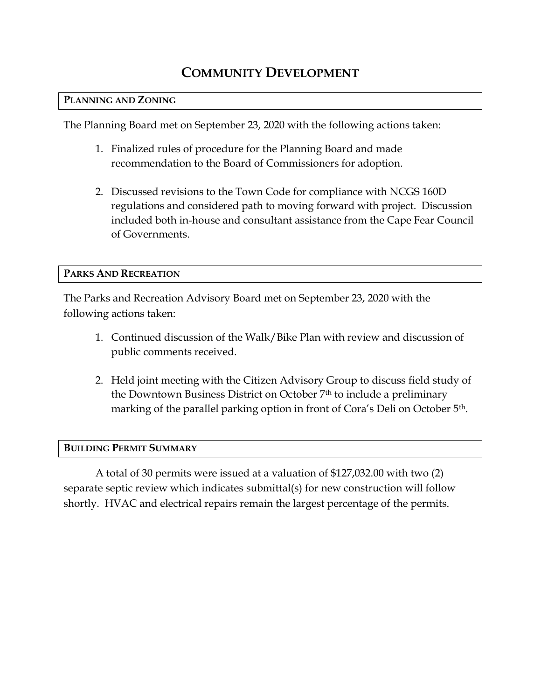# **COMMUNITY DEVELOPMENT**

#### **PLANNING AND ZONING**

The Planning Board met on September 23, 2020 with the following actions taken:

- 1. Finalized rules of procedure for the Planning Board and made recommendation to the Board of Commissioners for adoption.
- 2. Discussed revisions to the Town Code for compliance with NCGS 160D regulations and considered path to moving forward with project. Discussion included both in-house and consultant assistance from the Cape Fear Council of Governments.

#### **PARKS AND RECREATION**

The Parks and Recreation Advisory Board met on September 23, 2020 with the following actions taken:

- 1. Continued discussion of the Walk/Bike Plan with review and discussion of public comments received.
- 2. Held joint meeting with the Citizen Advisory Group to discuss field study of the Downtown Business District on October 7th to include a preliminary marking of the parallel parking option in front of Cora's Deli on October 5th.

#### **BUILDING PERMIT SUMMARY**

A total of 30 permits were issued at a valuation of \$127,032.00 with two (2) separate septic review which indicates submittal(s) for new construction will follow shortly. HVAC and electrical repairs remain the largest percentage of the permits.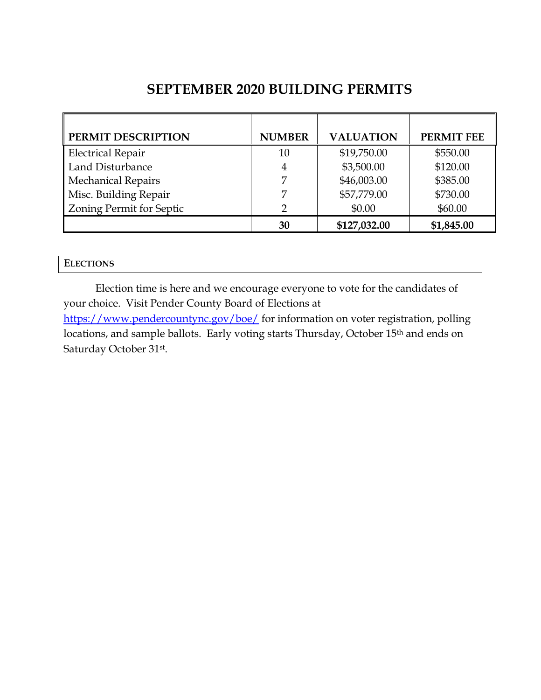## **SEPTEMBER 2020 BUILDING PERMITS**

| PERMIT DESCRIPTION        | <b>NUMBER</b> | <b>VALUATION</b> | <b>PERMIT FEE</b> |
|---------------------------|---------------|------------------|-------------------|
| <b>Electrical Repair</b>  | 10            | \$19,750.00      | \$550.00          |
| Land Disturbance          | 4             | \$3,500.00       | \$120.00          |
| <b>Mechanical Repairs</b> |               | \$46,003.00      | \$385.00          |
| Misc. Building Repair     | 7             | \$57,779.00      | \$730.00          |
| Zoning Permit for Septic  | 2             | \$0.00           | \$60.00           |
|                           | 30            | \$127,032.00     | \$1,845.00        |

Election time is here and we encourage everyone to vote for the candidates of your choice. Visit Pender County Board of Elections at

<https://www.pendercountync.gov/boe/> for information on voter registration, polling locations, and sample ballots. Early voting starts Thursday, October 15th and ends on Saturday October 31st .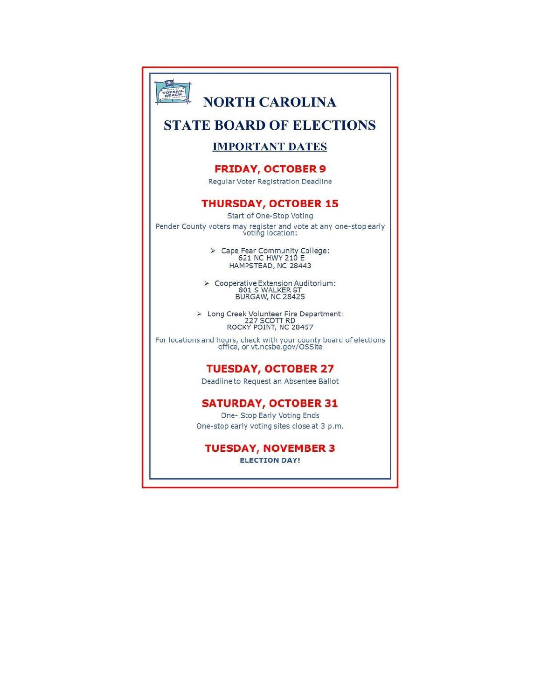

# **NORTH CAROLINA**

### **STATE BOARD OF ELECTIONS**

#### **IMPORTANT DATES**

#### **FRIDAY, OCTOBER 9**

Regular Voter Registration Deadline

#### **THURSDAY, OCTOBER 15**

Start of One-Stop Voting Pender County voters may register and vote at any one-stop early voting location:

> Cape Fear Community College:<br>621 NC HWY 210 E<br>HAMPSTEAD, NC 28443

> Cooperative Extension Auditorium:<br>801 S WALKER ST<br>BURGAW, NC 28425

> Long Creek Volunteer Fire Department:<br>227 SCOTT RD<br>ROCKY POINT, NC 28457

For locations and hours, check with your county board of elections<br>office, or vt.ncsbe.gov/OSSite

#### **TUESDAY, OCTOBER 27**

Deadline to Request an Absentee Ballot

#### **SATURDAY, OCTOBER 31**

One- Stop Early Voting Ends One-stop early voting sites close at 3 p.m.

### **TUESDAY, NOVEMBER 3**

**ELECTION DAY!**